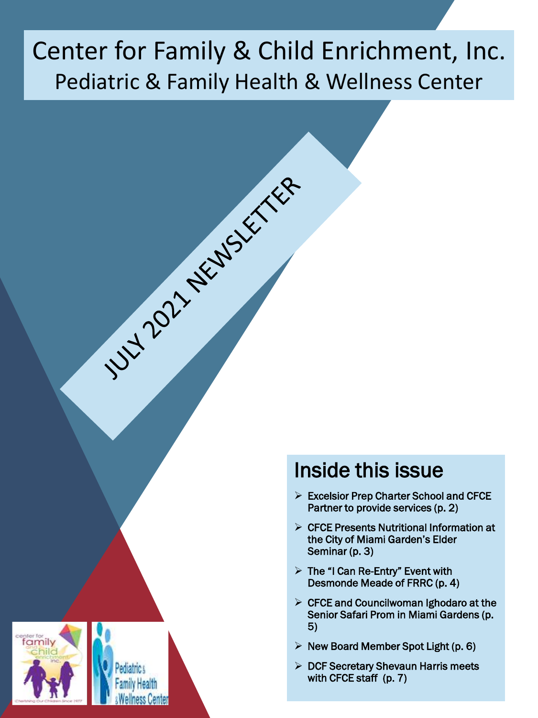# Center for Family & Child Enrichment, Inc. Pediatric & Family Health & Wellness Center

1UH 2021 ASIASSET REP



### Inside this issue

- $\triangleright$  Excelsior Prep Charter School and CFCE Partner to provide services (p. 2)
- $\triangleright$  CFCE Presents Nutritional Information at the City of Miami Garden's Elder Seminar (p. 3)
- $\triangleright$  The "I Can Re-Entry" Event with Desmonde Meade of FRRC (p. 4)
- $\triangleright$  CFCE and Councilwoman Ighodaro at the Senior Safari Prom in Miami Gardens (p. 5)
- $\triangleright$  New Board Member Spot Light (p. 6)
- $\triangleright$  DCF Secretary Shevaun Harris meets with CFCE staff (p. 7)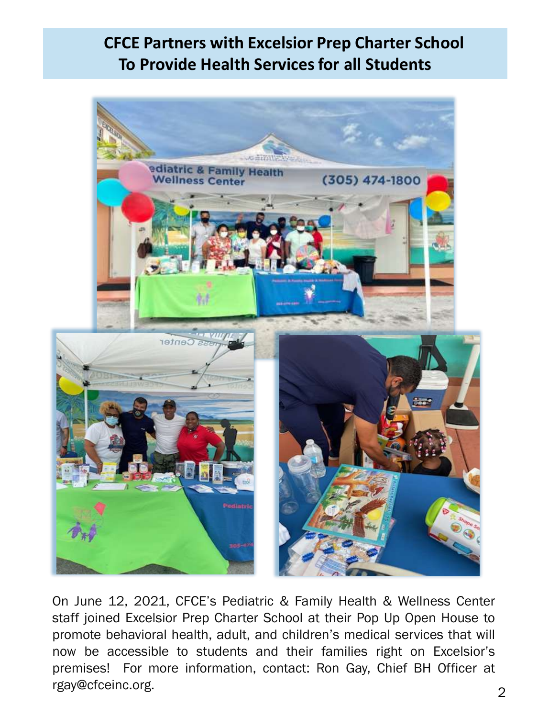### **CFCE Partners with Excelsior Prep Charter School To Provide Health Services for all Students**



On June 12, 2021, CFCE's Pediatric & Family Health & Wellness Center staff joined Excelsior Prep Charter School at their Pop Up Open House to promote behavioral health, adult, and children's medical services that will now be accessible to students and their families right on Excelsior's premises! For more information, contact: Ron Gay, Chief BH Officer at rgay@cfceinc.org.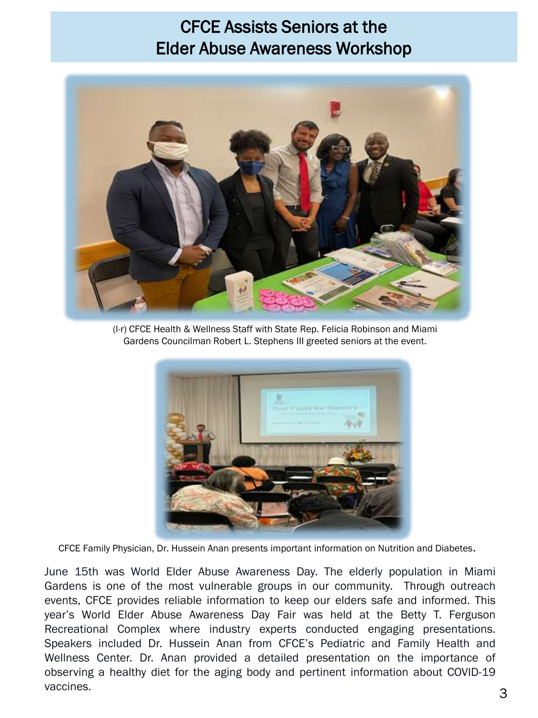### CFCE Assists Seniors at the Elder Abuse Awareness Workshop



(l-r) CFCE Health & Wellness Staff with State Rep. Felicia Robinson and Miami Gardens Councilman Robert L. Stephens III greeted seniors at the event.



CFCE Family Physician, Dr. Hussein Anan presents important information on Nutrition and Diabetes**.**

June 15th was World Elder Abuse Awareness Day. The elderly population in Miami Gardens is one of the most vulnerable groups in our community. Through outreach events, CFCE provides reliable information to keep our elders safe and informed. This year's World Elder Abuse Awareness Day Fair was held at the Betty T. Ferguson Recreational Complex where industry experts conducted engaging presentations. Speakers included Dr. Hussein Anan from CFCE's Pediatric and Family Health and Wellness Center. Dr. Anan provided a detailed presentation on the importance of observing a healthy diet for the aging body and pertinent information about COVID-19 vaccines.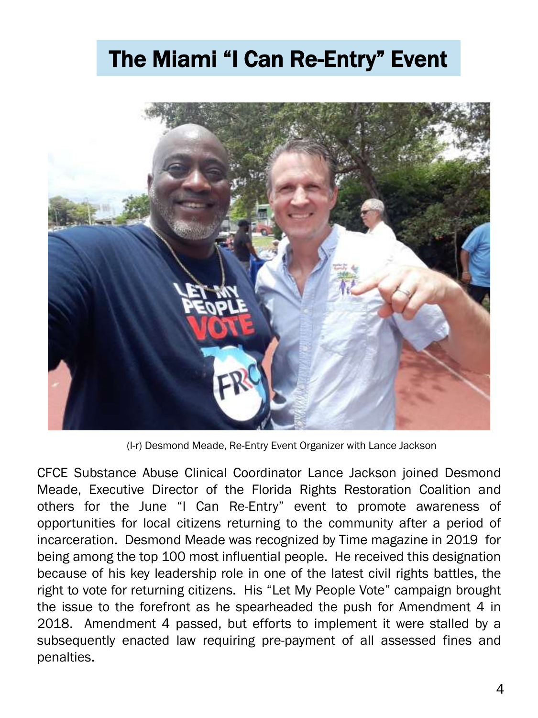## The Miami "I Can Re-Entry" Event



(l-r) Desmond Meade, Re-Entry Event Organizer with Lance Jackson

CFCE Substance Abuse Clinical Coordinator Lance Jackson joined Desmond Meade, Executive Director of the Florida Rights Restoration Coalition and others for the June "I Can Re-Entry" event to promote awareness of opportunities for local citizens returning to the community after a period of incarceration. Desmond Meade was recognized by Time magazine in 2019 for being among the top 100 most influential people. He received this designation because of his key leadership role in one of the latest civil rights battles, the right to vote for returning citizens. His "Let My People Vote" campaign brought the issue to the forefront as he spearheaded the push for Amendment 4 in 2018. Amendment 4 passed, but efforts to implement it were stalled by a subsequently enacted law requiring pre-payment of all assessed fines and penalties.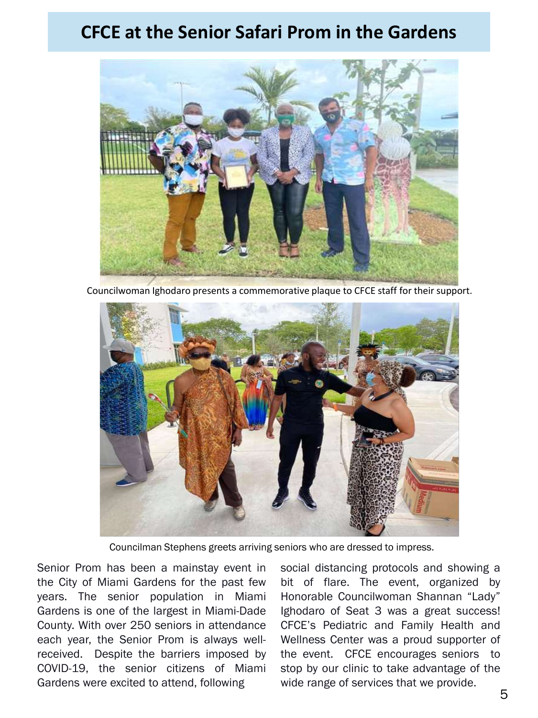### **CFCE at the Senior Safari Prom in the Gardens**



Councilwoman Ighodaro presents a commemorative plaque to CFCE staff for their support.



Councilman Stephens greets arriving seniors who are dressed to impress.

Senior Prom has been a mainstay event in the City of Miami Gardens for the past few years. The senior population in Miami Gardens is one of the largest in Miami-Dade County. With over 250 seniors in attendance each year, the Senior Prom is always wellreceived. Despite the barriers imposed by COVID-19, the senior citizens of Miami Gardens were excited to attend, following

social distancing protocols and showing a bit of flare. The event, organized by Honorable Councilwoman Shannan "Lady" Ighodaro of Seat 3 was a great success! CFCE's Pediatric and Family Health and Wellness Center was a proud supporter of the event. CFCE encourages seniors to stop by our clinic to take advantage of the wide range of services that we provide.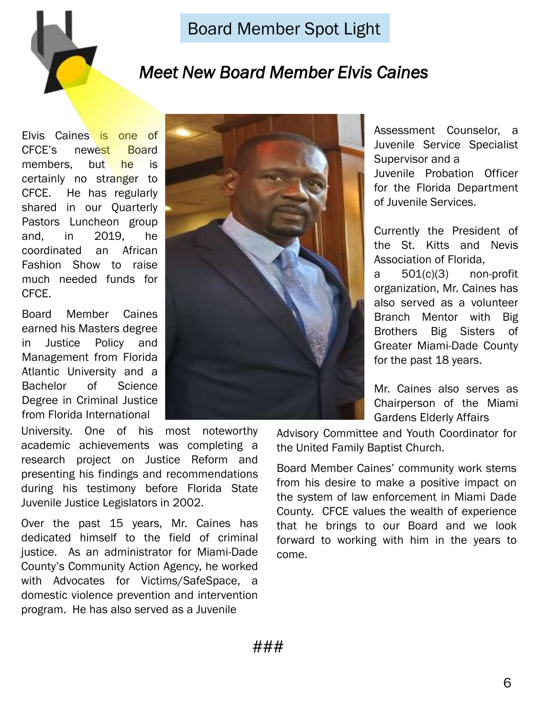

### Board Member Spot Light

### *Meet New Board Member Elvis Caines*

Elvis Caines is one of CFCE's newest Board members, but he is certainly no stranger to CFCE. He has regularly shared in our Quarterly Pastors Luncheon group and, in 2019, he coordinated an African Fashion Show to raise much needed funds for CFCE.

Board Member Caines earned his Masters degree in Justice Policy and Management from Florida Atlantic University and a Bachelor of Science Degree in Criminal Justice from Florida International

*2020 – present ??*

University. One of his most noteworthy academic achievements was completing a research project on Justice Reform and presenting his findings and recommendations during his testimony before Florida State Juvenile Justice Legislators in 2002.

Over the past 15 years, Mr. Caines has dedicated himself to the field of criminal justice. As an administrator for Miami-Dade County's Community Action Agency, he worked with Advocates for Victims/SafeSpace, a domestic violence prevention and intervention program. He has also served as a Juvenile

Assessment Counselor, a Juvenile Service Specialist Supervisor and a Juvenile Probation Officer for the Florida Department of Juvenile Services.

Currently the President of the St. Kitts and Nevis Association of Florida, a 501(c)(3) non-profit organization, Mr. Caines has also served as a volunteer Branch Mentor with Big Brothers Big Sisters of Greater Miami-Dade County for the past 18 years.

Mr. Caines also serves as Chairperson of the Miami Gardens Elderly Affairs

Advisory Committee and Youth Coordinator for the United Family Baptist Church.

Board Member Caines' community work stems from his desire to make a positive impact on the system of law enforcement in Miami Dade County. CFCE values the wealth of experience that he brings to our Board and we look forward to working with him in the years to come.